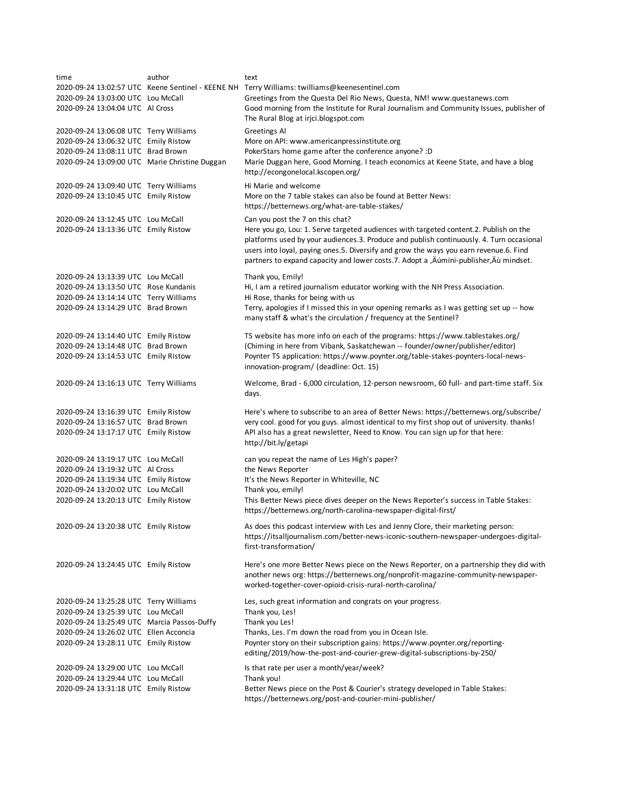| time                                                                       | author | text                                                                                          |
|----------------------------------------------------------------------------|--------|-----------------------------------------------------------------------------------------------|
|                                                                            |        | 2020-09-24 13:02:57 UTC Keene Sentinel - KEENE NH Terry Williams: twilliams@keenesentinel.com |
| 2020-09-24 13:03:00 UTC Lou McCall                                         |        | Greetings from the Questa Del Rio News, Questa, NM! www.questanews.com                        |
| 2020-09-24 13:04:04 UTC Al Cross                                           |        | Good morning from the Institute for Rural Journalism and Community Issues, publisher of       |
|                                                                            |        | The Rural Blog at irjci.blogspot.com                                                          |
| 2020-09-24 13:06:08 UTC Terry Williams                                     |        | <b>Greetings Al</b>                                                                           |
| 2020-09-24 13:06:32 UTC Emily Ristow                                       |        | More on API: www.americanpressinstitute.org                                                   |
| 2020-09-24 13:08:11 UTC Brad Brown                                         |        | PokerStars home game after the conference anyone? : D                                         |
| 2020-09-24 13:09:00 UTC Marie Christine Duggan                             |        | Marie Duggan here, Good Morning. I teach economics at Keene State, and have a blog            |
|                                                                            |        | http://econgonelocal.kscopen.org/                                                             |
| 2020-09-24 13:09:40 UTC Terry Williams                                     |        | Hi Marie and welcome                                                                          |
| 2020-09-24 13:10:45 UTC Emily Ristow                                       |        | More on the 7 table stakes can also be found at Better News:                                  |
|                                                                            |        | https://betternews.org/what-are-table-stakes/                                                 |
| 2020-09-24 13:12:45 UTC Lou McCall                                         |        | Can you post the 7 on this chat?                                                              |
| 2020-09-24 13:13:36 UTC Emily Ristow                                       |        | Here you go, Lou: 1. Serve targeted audiences with targeted content.2. Publish on the         |
|                                                                            |        | platforms used by your audiences.3. Produce and publish continuously. 4. Turn occasional      |
|                                                                            |        | users into loyal, paying ones.5. Diversify and grow the ways you earn revenue.6. Find         |
|                                                                            |        | partners to expand capacity and lower costs.7. Adopt a , Aumini-publisher, Au mindset.        |
|                                                                            |        |                                                                                               |
| 2020-09-24 13:13:39 UTC Lou McCall                                         |        | Thank you, Emily!                                                                             |
| 2020-09-24 13:13:50 UTC Rose Kundanis                                      |        | Hi, I am a retired journalism educator working with the NH Press Association.                 |
| 2020-09-24 13:14:14 UTC Terry Williams                                     |        | Hi Rose, thanks for being with us                                                             |
| 2020-09-24 13:14:29 UTC Brad Brown                                         |        | Terry, apologies if I missed this in your opening remarks as I was getting set up -- how      |
|                                                                            |        | many staff & what's the circulation / frequency at the Sentinel?                              |
| 2020-09-24 13:14:40 UTC Emily Ristow                                       |        | TS website has more info on each of the programs: https://www.tablestakes.org/                |
| 2020-09-24 13:14:48 UTC Brad Brown                                         |        | (Chiming in here from Vibank, Saskatchewan -- founder/owner/publisher/editor)                 |
| 2020-09-24 13:14:53 UTC Emily Ristow                                       |        | Poynter TS application: https://www.poynter.org/table-stakes-poynters-local-news-             |
|                                                                            |        | innovation-program/ (deadline: Oct. 15)                                                       |
|                                                                            |        |                                                                                               |
| 2020-09-24 13:16:13 UTC Terry Williams                                     |        | Welcome, Brad - 6,000 circulation, 12-person newsroom, 60 full- and part-time staff. Six      |
|                                                                            |        | days.                                                                                         |
| 2020-09-24 13:16:39 UTC Emily Ristow                                       |        | Here's where to subscribe to an area of Better News: https://betternews.org/subscribe/        |
| 2020-09-24 13:16:57 UTC Brad Brown                                         |        | very cool. good for you guys. almost identical to my first shop out of university. thanks!    |
| 2020-09-24 13:17:17 UTC Emily Ristow                                       |        | API also has a great newsletter, Need to Know. You can sign up for that here:                 |
|                                                                            |        | http://bit.ly/getapi                                                                          |
|                                                                            |        |                                                                                               |
| 2020-09-24 13:19:17 UTC Lou McCall                                         |        | can you repeat the name of Les High's paper?                                                  |
| 2020-09-24 13:19:32 UTC Al Cross                                           |        | the News Reporter                                                                             |
| 2020-09-24 13:19:34 UTC Emily Ristow<br>2020-09-24 13:20:02 UTC Lou McCall |        | It's the News Reporter in Whiteville, NC<br>Thank you, emily!                                 |
| 2020-09-24 13:20:13 UTC Emily Ristow                                       |        | This Better News piece dives deeper on the News Reporter's success in Table Stakes:           |
|                                                                            |        | https://betternews.org/north-carolina-newspaper-digital-first/                                |
|                                                                            |        |                                                                                               |
| 2020-09-24 13:20:38 UTC Emily Ristow                                       |        | As does this podcast interview with Les and Jenny Clore, their marketing person:              |
|                                                                            |        | https://itsalljournalism.com/better-news-iconic-southern-newspaper-undergoes-digital-         |
|                                                                            |        | first-transformation/                                                                         |
| 2020-09-24 13:24:45 UTC Emily Ristow                                       |        | Here's one more Better News piece on the News Reporter, on a partnership they did with        |
|                                                                            |        | another news org: https://betternews.org/nonprofit-magazine-community-newspaper-              |
|                                                                            |        | worked-together-cover-opioid-crisis-rural-north-carolina/                                     |
|                                                                            |        |                                                                                               |
| 2020-09-24 13:25:28 UTC Terry Williams                                     |        | Les, such great information and congrats on your progress.                                    |
| 2020-09-24 13:25:39 UTC Lou McCall                                         |        | Thank you, Les!                                                                               |
| 2020-09-24 13:25:49 UTC Marcia Passos-Duffy                                |        | Thank you Les!                                                                                |
| 2020-09-24 13:26:02 UTC Ellen Acconcia                                     |        | Thanks, Les. I'm down the road from you in Ocean Isle.                                        |
| 2020-09-24 13:28:11 UTC Emily Ristow                                       |        | Poynter story on their subscription gains: https://www.poynter.org/reporting-                 |
|                                                                            |        | editing/2019/how-the-post-and-courier-grew-digital-subscriptions-by-250/                      |
| 2020-09-24 13:29:00 UTC Lou McCall                                         |        | Is that rate per user a month/year/week?                                                      |
| 2020-09-24 13:29:44 UTC Lou McCall                                         |        | Thank you!                                                                                    |
| 2020-09-24 13:31:18 UTC Emily Ristow                                       |        | Better News piece on the Post & Courier's strategy developed in Table Stakes:                 |
|                                                                            |        | https://betternews.org/post-and-courier-mini-publisher/                                       |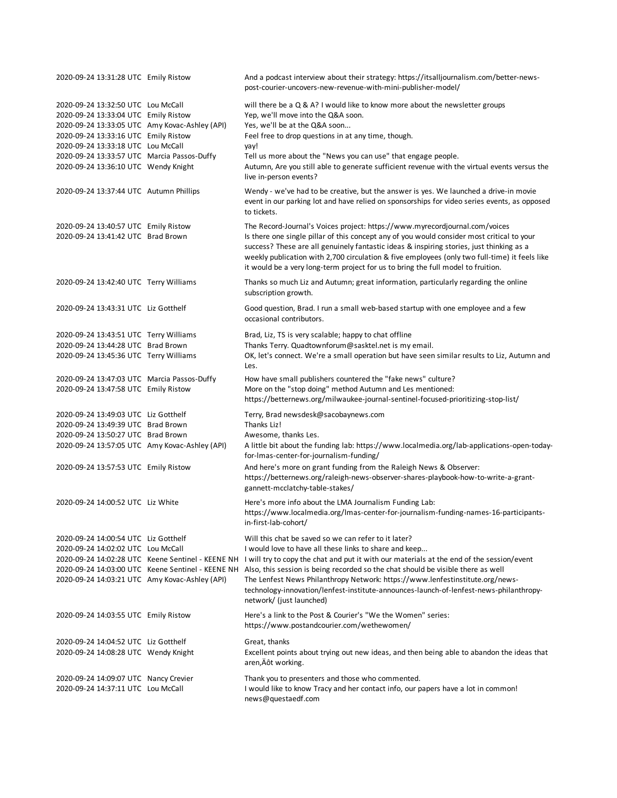| 2020-09-24 13:31:28 UTC Emily Ristow                                                                                         |                                                   | And a podcast interview about their strategy: https://itsalljournalism.com/better-news-<br>post-courier-uncovers-new-revenue-with-mini-publisher-model/                                                                                                                                                                                                                                                                                                    |
|------------------------------------------------------------------------------------------------------------------------------|---------------------------------------------------|------------------------------------------------------------------------------------------------------------------------------------------------------------------------------------------------------------------------------------------------------------------------------------------------------------------------------------------------------------------------------------------------------------------------------------------------------------|
| 2020-09-24 13:32:50 UTC Lou McCall<br>2020-09-24 13:33:04 UTC Emily Ristow<br>2020-09-24 13:33:05 UTC Amy Kovac-Ashley (API) |                                                   | will there be a Q & A? I would like to know more about the newsletter groups<br>Yep, we'll move into the Q&A soon.<br>Yes, we'll be at the Q&A soon                                                                                                                                                                                                                                                                                                        |
| 2020-09-24 13:33:16 UTC Emily Ristow                                                                                         |                                                   | Feel free to drop questions in at any time, though.                                                                                                                                                                                                                                                                                                                                                                                                        |
| 2020-09-24 13:33:18 UTC Lou McCall                                                                                           |                                                   | yay!                                                                                                                                                                                                                                                                                                                                                                                                                                                       |
| 2020-09-24 13:33:57 UTC Marcia Passos-Duffy                                                                                  |                                                   | Tell us more about the "News you can use" that engage people.                                                                                                                                                                                                                                                                                                                                                                                              |
| 2020-09-24 13:36:10 UTC Wendy Knight                                                                                         |                                                   | Autumn, Are you still able to generate sufficient revenue with the virtual events versus the<br>live in-person events?                                                                                                                                                                                                                                                                                                                                     |
| 2020-09-24 13:37:44 UTC Autumn Phillips                                                                                      |                                                   | Wendy - we've had to be creative, but the answer is yes. We launched a drive-in movie<br>event in our parking lot and have relied on sponsorships for video series events, as opposed<br>to tickets.                                                                                                                                                                                                                                                       |
| 2020-09-24 13:40:57 UTC Emily Ristow<br>2020-09-24 13:41:42 UTC Brad Brown                                                   |                                                   | The Record-Journal's Voices project: https://www.myrecordjournal.com/voices<br>Is there one single pillar of this concept any of you would consider most critical to your<br>success? These are all genuinely fantastic ideas & inspiring stories, just thinking as a<br>weekly publication with 2,700 circulation & five employees (only two full-time) it feels like<br>it would be a very long-term project for us to bring the full model to fruition. |
| 2020-09-24 13:42:40 UTC Terry Williams                                                                                       |                                                   | Thanks so much Liz and Autumn; great information, particularly regarding the online<br>subscription growth.                                                                                                                                                                                                                                                                                                                                                |
| 2020-09-24 13:43:31 UTC Liz Gotthelf                                                                                         |                                                   | Good question, Brad. I run a small web-based startup with one employee and a few<br>occasional contributors.                                                                                                                                                                                                                                                                                                                                               |
| 2020-09-24 13:43:51 UTC Terry Williams                                                                                       |                                                   | Brad, Liz, TS is very scalable; happy to chat offline                                                                                                                                                                                                                                                                                                                                                                                                      |
| 2020-09-24 13:44:28 UTC Brad Brown                                                                                           |                                                   | Thanks Terry. Quadtownforum@sasktel.net is my email.                                                                                                                                                                                                                                                                                                                                                                                                       |
| 2020-09-24 13:45:36 UTC Terry Williams                                                                                       |                                                   | OK, let's connect. We're a small operation but have seen similar results to Liz, Autumn and<br>Les.                                                                                                                                                                                                                                                                                                                                                        |
| 2020-09-24 13:47:03 UTC Marcia Passos-Duffy                                                                                  |                                                   | How have small publishers countered the "fake news" culture?                                                                                                                                                                                                                                                                                                                                                                                               |
| 2020-09-24 13:47:58 UTC Emily Ristow                                                                                         |                                                   | More on the "stop doing" method Autumn and Les mentioned:<br>https://betternews.org/milwaukee-journal-sentinel-focused-prioritizing-stop-list/                                                                                                                                                                                                                                                                                                             |
| 2020-09-24 13:49:03 UTC Liz Gotthelf                                                                                         |                                                   | Terry, Brad newsdesk@sacobaynews.com                                                                                                                                                                                                                                                                                                                                                                                                                       |
| 2020-09-24 13:49:39 UTC Brad Brown                                                                                           |                                                   | Thanks Liz!                                                                                                                                                                                                                                                                                                                                                                                                                                                |
| 2020-09-24 13:50:27 UTC Brad Brown                                                                                           |                                                   | Awesome, thanks Les.                                                                                                                                                                                                                                                                                                                                                                                                                                       |
| 2020-09-24 13:57:05 UTC Amy Kovac-Ashley (API)                                                                               |                                                   | A little bit about the funding lab: https://www.localmedia.org/lab-applications-open-today-<br>for-Imas-center-for-journalism-funding/                                                                                                                                                                                                                                                                                                                     |
| 2020-09-24 13:57:53 UTC Emily Ristow                                                                                         |                                                   | And here's more on grant funding from the Raleigh News & Observer:<br>https://betternews.org/raleigh-news-observer-shares-playbook-how-to-write-a-grant-<br>gannett-mcclatchy-table-stakes/                                                                                                                                                                                                                                                                |
| 2020-09-24 14:00:52 UTC Liz White                                                                                            |                                                   | Here's more info about the LMA Journalism Funding Lab:<br>https://www.localmedia.org/lmas-center-for-journalism-funding-names-16-participants-<br>in-first-lab-cohort/                                                                                                                                                                                                                                                                                     |
| 2020-09-24 14:00:54 UTC Liz Gotthelf                                                                                         |                                                   | Will this chat be saved so we can refer to it later?                                                                                                                                                                                                                                                                                                                                                                                                       |
| 2020-09-24 14:02:02 UTC Lou McCall                                                                                           |                                                   | I would love to have all these links to share and keep                                                                                                                                                                                                                                                                                                                                                                                                     |
|                                                                                                                              |                                                   | 2020-09-24 14:02:28 UTC Keene Sentinel - KEENE NH I will try to copy the chat and put it with our materials at the end of the session/event                                                                                                                                                                                                                                                                                                                |
|                                                                                                                              | 2020-09-24 14:03:00 UTC Keene Sentinel - KEENE NH | Also, this session is being recorded so the chat should be visible there as well                                                                                                                                                                                                                                                                                                                                                                           |
| 2020-09-24 14:03:21 UTC Amy Kovac-Ashley (API)                                                                               |                                                   | The Lenfest News Philanthropy Network: https://www.lenfestinstitute.org/news-<br>technology-innovation/lenfest-institute-announces-launch-of-lenfest-news-philanthropy-<br>network/ (just launched)                                                                                                                                                                                                                                                        |
| 2020-09-24 14:03:55 UTC Emily Ristow                                                                                         |                                                   | Here's a link to the Post & Courier's "We the Women" series:<br>https://www.postandcourier.com/wethewomen/                                                                                                                                                                                                                                                                                                                                                 |
| 2020-09-24 14:04:52 UTC Liz Gotthelf                                                                                         |                                                   | Great, thanks                                                                                                                                                                                                                                                                                                                                                                                                                                              |
| 2020-09-24 14:08:28 UTC Wendy Knight                                                                                         |                                                   | Excellent points about trying out new ideas, and then being able to abandon the ideas that<br>aren, Äôt working.                                                                                                                                                                                                                                                                                                                                           |
| 2020-09-24 14:09:07 UTC Nancy Crevier                                                                                        |                                                   | Thank you to presenters and those who commented.                                                                                                                                                                                                                                                                                                                                                                                                           |
| 2020-09-24 14:37:11 UTC Lou McCall                                                                                           |                                                   | I would like to know Tracy and her contact info, our papers have a lot in common!<br>news@questaedf.com                                                                                                                                                                                                                                                                                                                                                    |